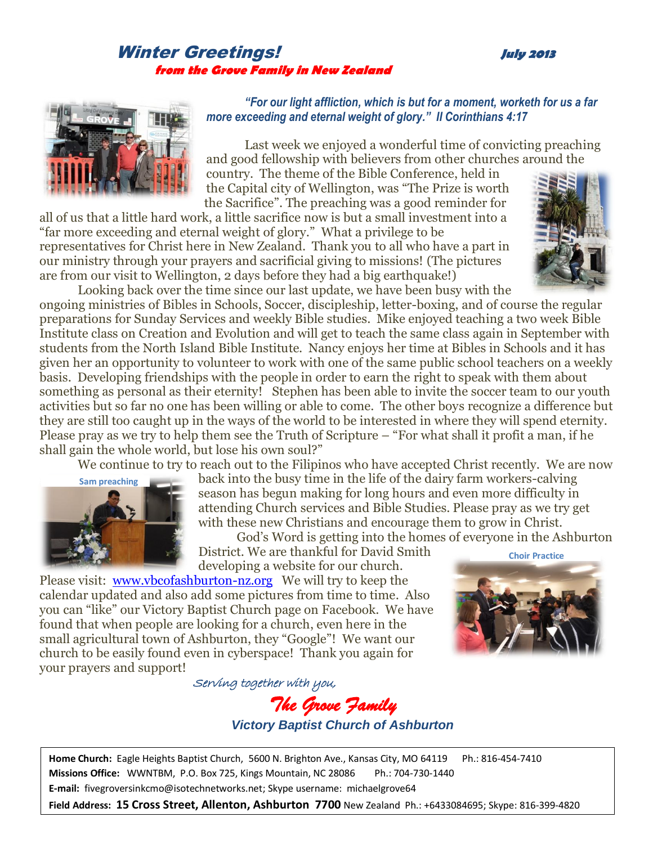## Winter Greetings! **July <sup>2013</sup> from the Grove Family in New Zealand**



## *"For our light affliction, which is but for a moment, worketh for us a far more exceeding and eternal weight of glory." II Corinthians 4:17*

Last week we enjoyed a wonderful time of convicting preaching and good fellowship with believers from other churches around the

country. The theme of the Bible Conference, held in the Capital city of Wellington, was "The Prize is worth the Sacrifice". The preaching was a good reminder for

all of us that a little hard work, a little sacrifice now is but a small investment into a "far more exceeding and eternal weight of glory." What a privilege to be representatives for Christ here in New Zealand. Thank you to all who have a part in our ministry through your prayers and sacrificial giving to missions! (The pictures are from our visit to Wellington, 2 days before they had a big earthquake!)



Looking back over the time since our last update, we have been busy with the ongoing ministries of Bibles in Schools, Soccer, discipleship, letter-boxing, and of course the regular preparations for Sunday Services and weekly Bible studies. Mike enjoyed teaching a two week Bible Institute class on Creation and Evolution and will get to teach the same class again in September with students from the North Island Bible Institute. Nancy enjoys her time at Bibles in Schools and it has given her an opportunity to volunteer to work with one of the same public school teachers on a weekly basis. Developing friendships with the people in order to earn the right to speak with them about something as personal as their eternity! Stephen has been able to invite the soccer team to our youth activities but so far no one has been willing or able to come. The other boys recognize a difference but they are still too caught up in the ways of the world to be interested in where they will spend eternity. Please pray as we try to help them see the Truth of Scripture – "For what shall it profit a man, if he shall gain the whole world, but lose his own soul?"

We continue to try to reach out to the Filipinos who have accepted Christ recently. We are now



back into the busy time in the life of the dairy farm workers-calving season has begun making for long hours and even more difficulty in attending Church services and Bible Studies. Please pray as we try get with these new Christians and encourage them to grow in Christ.

God's Word is getting into the homes of everyone in the Ashburton District. We are thankful for David Smith developing a website for our church. **Choir Practice**

Please visit: [www.vbcofashburton-nz.org](http://www.vbcofashburton-nz.org/) We will try to keep the calendar updated and also add some pictures from time to time. Also you can "like" our Victory Baptist Church page on Facebook. We have found that when people are looking for a church, even here in the small agricultural town of Ashburton, they "Google"! We want our church to be easily found even in cyberspace! Thank you again for your prayers and support!



Serving together with you, *The Grove Family* 

*Victory Baptist Church of Ashburton*

**Home Church:** Eagle Heights Baptist Church, 5600 N. Brighton Ave., Kansas City, MO 64119 Ph.: 816-454-7410 **Missions Office:** WWNTBM, P.O. Box 725, Kings Mountain, NC 28086 Ph.: 704-730-1440 **E-mail:** fivegroversinkcmo@isotechnetworks.net; Skype username: michaelgrove64

**Field Address: 15 Cross Street, Allenton, Ashburton 7700** New Zealand Ph.: +6433084695; Skype: 816-399-4820